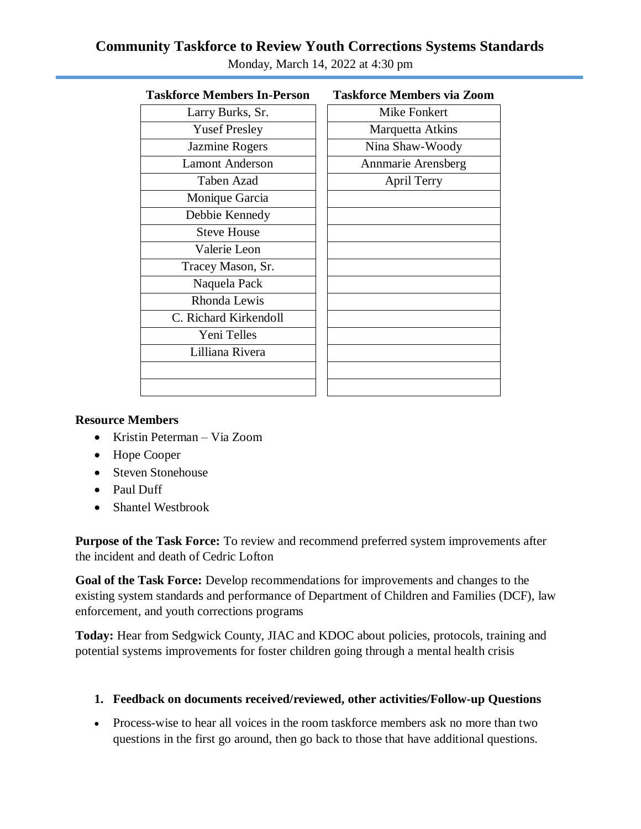## **Community Taskforce to Review Youth Corrections Systems Standards**

| <b>Taskforce Members In-Person</b> | <b>Taskforce Members via Zoom</b> |
|------------------------------------|-----------------------------------|
| Larry Burks, Sr.                   | <b>Mike Fonkert</b>               |
| <b>Yusef Presley</b>               | Marquetta Atkins                  |
| Jazmine Rogers                     | Nina Shaw-Woody                   |
| <b>Lamont Anderson</b>             | <b>Annmarie Arensberg</b>         |
| Taben Azad                         | <b>April Terry</b>                |
| Monique Garcia                     |                                   |
| Debbie Kennedy                     |                                   |
| <b>Steve House</b>                 |                                   |
| Valerie Leon                       |                                   |
| Tracey Mason, Sr.                  |                                   |
| Naquela Pack                       |                                   |
| Rhonda Lewis                       |                                   |
| C. Richard Kirkendoll              |                                   |
| Yeni Telles                        |                                   |
| Lilliana Rivera                    |                                   |
|                                    |                                   |
|                                    |                                   |
|                                    |                                   |

Monday, March 14, 2022 at 4:30 pm

#### **Resource Members**

- Kristin Peterman Via Zoom
- Hope Cooper
- Steven Stonehouse
- Paul Duff
- Shantel Westbrook

**Purpose of the Task Force:** To review and recommend preferred system improvements after the incident and death of Cedric Lofton

**Goal of the Task Force:** Develop recommendations for improvements and changes to the existing system standards and performance of Department of Children and Families (DCF), law enforcement, and youth corrections programs

**Today:** Hear from Sedgwick County, JIAC and KDOC about policies, protocols, training and potential systems improvements for foster children going through a mental health crisis

### **1. Feedback on documents received/reviewed, other activities/Follow-up Questions**

 Process-wise to hear all voices in the room taskforce members ask no more than two questions in the first go around, then go back to those that have additional questions.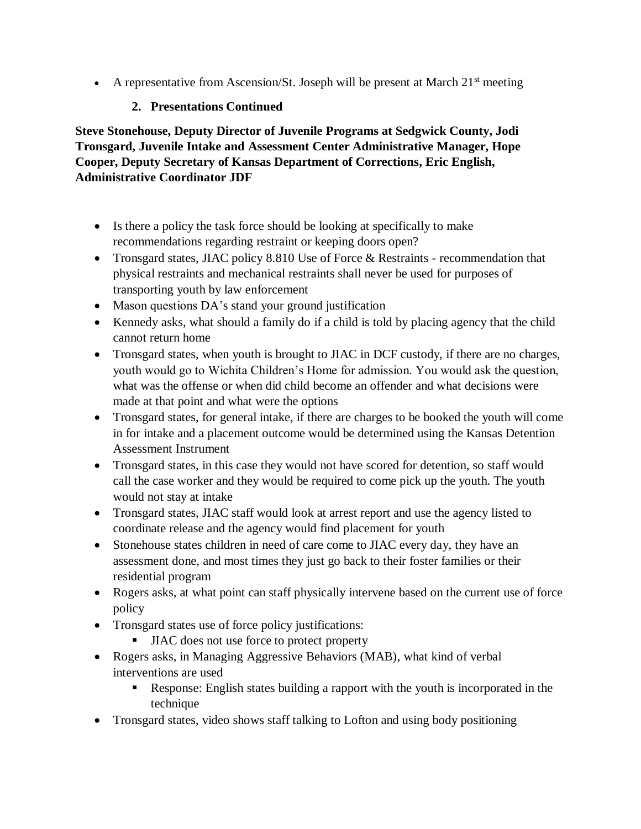A representative from Ascension/St. Joseph will be present at March  $21<sup>st</sup>$  meeting

## **2. Presentations Continued**

**Steve Stonehouse, Deputy Director of Juvenile Programs at Sedgwick County, Jodi Tronsgard, Juvenile Intake and Assessment Center Administrative Manager, Hope Cooper, Deputy Secretary of Kansas Department of Corrections, Eric English, Administrative Coordinator JDF**

- Is there a policy the task force should be looking at specifically to make recommendations regarding restraint or keeping doors open?
- Tronsgard states, JIAC policy 8.810 Use of Force & Restraints recommendation that physical restraints and mechanical restraints shall never be used for purposes of transporting youth by law enforcement
- Mason questions DA's stand your ground justification
- Kennedy asks, what should a family do if a child is told by placing agency that the child cannot return home
- Tronsgard states, when youth is brought to JIAC in DCF custody, if there are no charges, youth would go to Wichita Children's Home for admission. You would ask the question, what was the offense or when did child become an offender and what decisions were made at that point and what were the options
- Tronsgard states, for general intake, if there are charges to be booked the youth will come in for intake and a placement outcome would be determined using the Kansas Detention Assessment Instrument
- Tronsgard states, in this case they would not have scored for detention, so staff would call the case worker and they would be required to come pick up the youth. The youth would not stay at intake
- Tronsgard states, JIAC staff would look at arrest report and use the agency listed to coordinate release and the agency would find placement for youth
- Stonehouse states children in need of care come to JIAC every day, they have an assessment done, and most times they just go back to their foster families or their residential program
- Rogers asks, at what point can staff physically intervene based on the current use of force policy
- Tronsgard states use of force policy justifications:
	- IIAC does not use force to protect property
- Rogers asks, in Managing Aggressive Behaviors (MAB), what kind of verbal interventions are used
	- Response: English states building a rapport with the youth is incorporated in the technique
- Tronsgard states, video shows staff talking to Lofton and using body positioning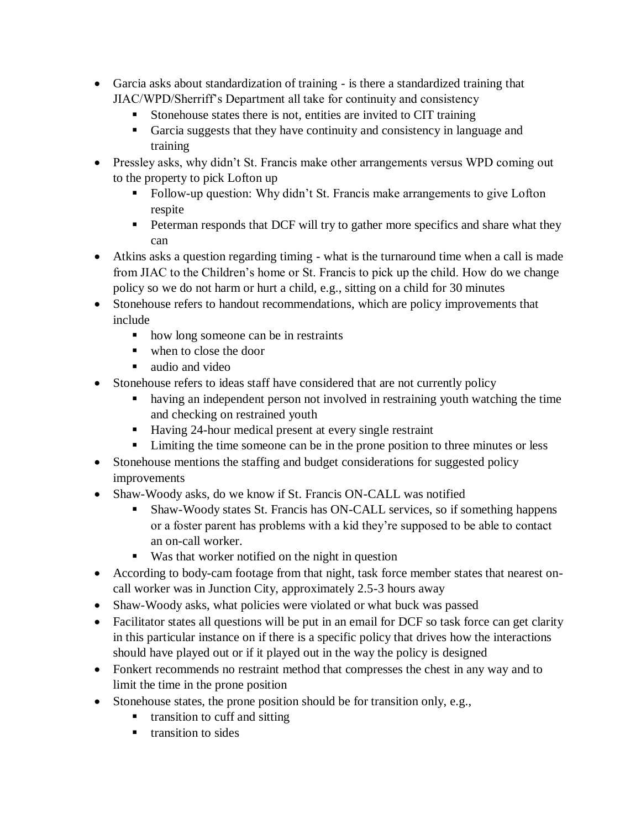- Garcia asks about standardization of training is there a standardized training that JIAC/WPD/Sherriff's Department all take for continuity and consistency
	- Stonehouse states there is not, entities are invited to CIT training
	- Garcia suggests that they have continuity and consistency in language and training
- Pressley asks, why didn't St. Francis make other arrangements versus WPD coming out to the property to pick Lofton up
	- Follow-up question: Why didn't St. Francis make arrangements to give Lofton respite
	- **Peterman responds that DCF will try to gather more specifics and share what they** can
- Atkins asks a question regarding timing what is the turnaround time when a call is made from JIAC to the Children's home or St. Francis to pick up the child. How do we change policy so we do not harm or hurt a child, e.g., sitting on a child for 30 minutes
- Stonehouse refers to handout recommendations, which are policy improvements that include
	- how long someone can be in restraints
	- when to close the door
	- audio and video
- Stonehouse refers to ideas staff have considered that are not currently policy
	- having an independent person not involved in restraining youth watching the time and checking on restrained youth
	- Having 24-hour medical present at every single restraint
	- Limiting the time someone can be in the prone position to three minutes or less
- Stonehouse mentions the staffing and budget considerations for suggested policy improvements
- Shaw-Woody asks, do we know if St. Francis ON-CALL was notified
	- Shaw-Woody states St. Francis has ON-CALL services, so if something happens or a foster parent has problems with a kid they're supposed to be able to contact an on-call worker.
	- Was that worker notified on the night in question
- According to body-cam footage from that night, task force member states that nearest oncall worker was in Junction City, approximately 2.5-3 hours away
- Shaw-Woody asks, what policies were violated or what buck was passed
- Facilitator states all questions will be put in an email for DCF so task force can get clarity in this particular instance on if there is a specific policy that drives how the interactions should have played out or if it played out in the way the policy is designed
- Fonkert recommends no restraint method that compresses the chest in any way and to limit the time in the prone position
- Stonehouse states, the prone position should be for transition only, e.g.,
	- transition to cuff and sitting
	- **transition to sides**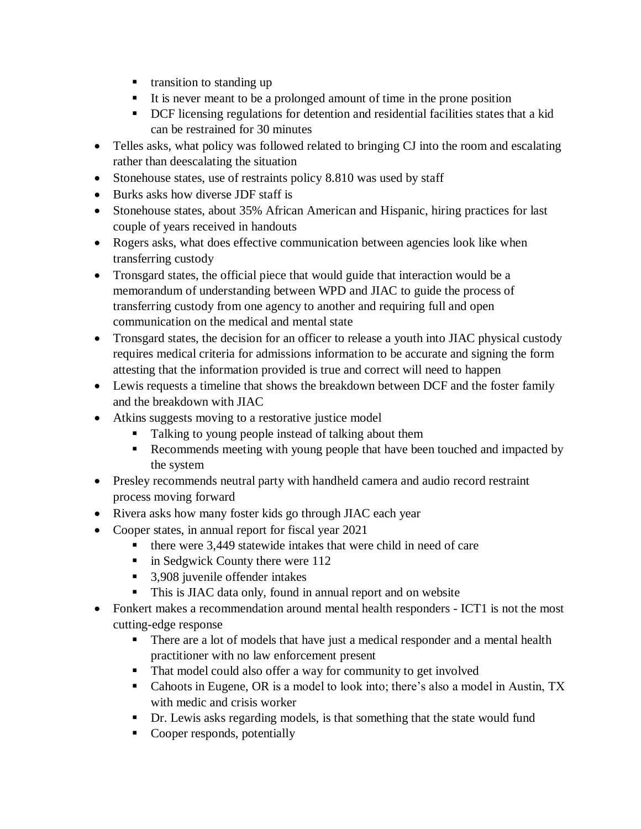- **transition to standing up**
- It is never meant to be a prolonged amount of time in the prone position
- DCF licensing regulations for detention and residential facilities states that a kid can be restrained for 30 minutes
- Telles asks, what policy was followed related to bringing CJ into the room and escalating rather than deescalating the situation
- Stonehouse states, use of restraints policy 8.810 was used by staff
- Burks asks how diverse JDF staff is
- Stonehouse states, about 35% African American and Hispanic, hiring practices for last couple of years received in handouts
- Rogers asks, what does effective communication between agencies look like when transferring custody
- Tronsgard states, the official piece that would guide that interaction would be a memorandum of understanding between WPD and JIAC to guide the process of transferring custody from one agency to another and requiring full and open communication on the medical and mental state
- Tronsgard states, the decision for an officer to release a youth into JIAC physical custody requires medical criteria for admissions information to be accurate and signing the form attesting that the information provided is true and correct will need to happen
- Lewis requests a timeline that shows the breakdown between DCF and the foster family and the breakdown with JIAC
- Atkins suggests moving to a restorative justice model
	- **Talking to young people instead of talking about them**
	- Recommends meeting with young people that have been touched and impacted by the system
- Presley recommends neutral party with handheld camera and audio record restraint process moving forward
- Rivera asks how many foster kids go through JIAC each year
- Cooper states, in annual report for fiscal year 2021
	- $\blacksquare$  there were 3,449 statewide intakes that were child in need of care
	- $\blacksquare$  in Sedgwick County there were 112
	- 3,908 juvenile offender intakes
	- This is JIAC data only, found in annual report and on website
- Fonkert makes a recommendation around mental health responders ICT1 is not the most cutting-edge response
	- There are a lot of models that have just a medical responder and a mental health practitioner with no law enforcement present
	- That model could also offer a way for community to get involved
	- Cahoots in Eugene, OR is a model to look into; there's also a model in Austin, TX with medic and crisis worker
	- Dr. Lewis asks regarding models, is that something that the state would fund
	- Cooper responds, potentially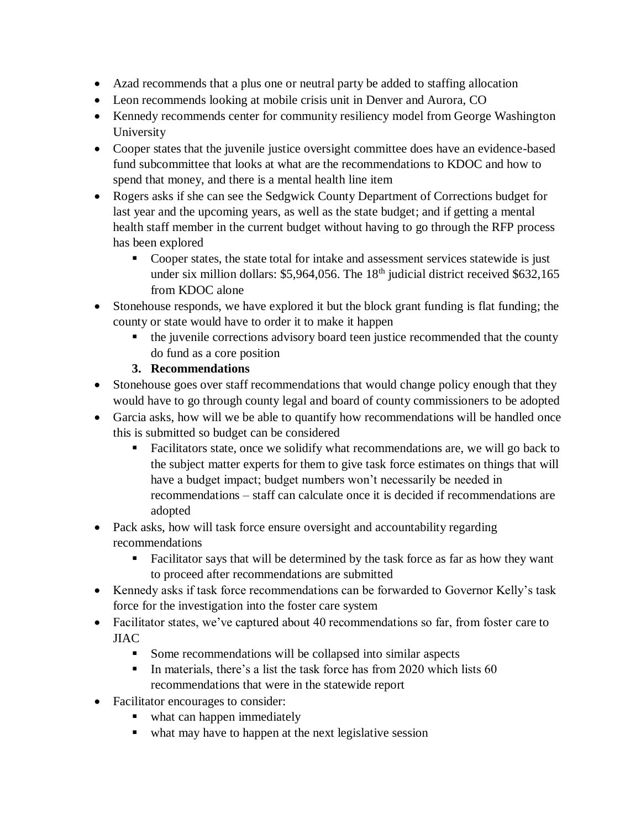- Azad recommends that a plus one or neutral party be added to staffing allocation
- Leon recommends looking at mobile crisis unit in Denver and Aurora, CO
- Kennedy recommends center for community resiliency model from George Washington University
- Cooper states that the juvenile justice oversight committee does have an evidence-based fund subcommittee that looks at what are the recommendations to KDOC and how to spend that money, and there is a mental health line item
- Rogers asks if she can see the Sedgwick County Department of Corrections budget for last year and the upcoming years, as well as the state budget; and if getting a mental health staff member in the current budget without having to go through the RFP process has been explored
	- Cooper states, the state total for intake and assessment services statewide is just under six million dollars: \$5,964,056. The 18<sup>th</sup> judicial district received \$632,165 from KDOC alone
- Stonehouse responds, we have explored it but the block grant funding is flat funding; the county or state would have to order it to make it happen
	- the juvenile corrections advisory board teen justice recommended that the county do fund as a core position

# **3. Recommendations**

- Stonehouse goes over staff recommendations that would change policy enough that they would have to go through county legal and board of county commissioners to be adopted
- Garcia asks, how will we be able to quantify how recommendations will be handled once this is submitted so budget can be considered
	- Facilitators state, once we solidify what recommendations are, we will go back to the subject matter experts for them to give task force estimates on things that will have a budget impact; budget numbers won't necessarily be needed in recommendations – staff can calculate once it is decided if recommendations are adopted
- Pack asks, how will task force ensure oversight and accountability regarding recommendations
	- Facilitator says that will be determined by the task force as far as how they want to proceed after recommendations are submitted
- Kennedy asks if task force recommendations can be forwarded to Governor Kelly's task force for the investigation into the foster care system
- Facilitator states, we've captured about 40 recommendations so far, from foster care to JIAC
	- Some recommendations will be collapsed into similar aspects
	- In materials, there's a list the task force has from 2020 which lists  $60$ recommendations that were in the statewide report
- Facilitator encourages to consider:
	- what can happen immediately
	- what may have to happen at the next legislative session